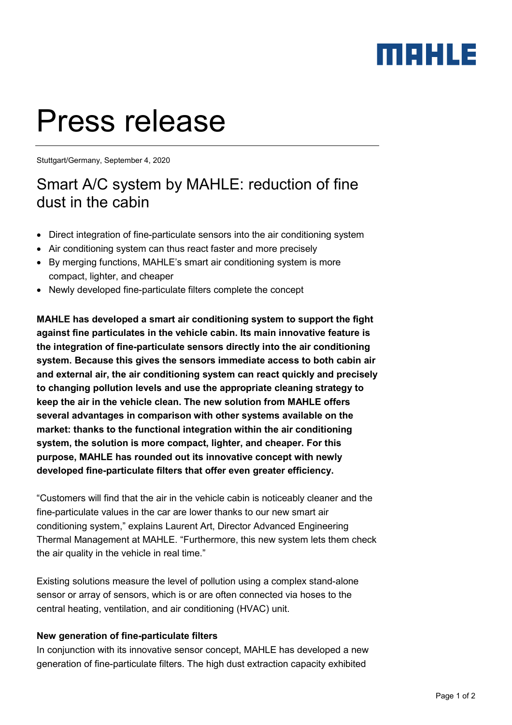### maxua

# Press release

Stuttgart/Germany, September 4, 2020

### Smart A/C system by MAHLE: reduction of fine dust in the cabin

- Direct integration of fine-particulate sensors into the air conditioning system
- Air conditioning system can thus react faster and more precisely
- By merging functions, MAHLE's smart air conditioning system is more compact, lighter, and cheaper
- Newly developed fine-particulate filters complete the concept

**MAHLE has developed a smart air conditioning system to support the fight against fine particulates in the vehicle cabin. Its main innovative feature is the integration of fine-particulate sensors directly into the air conditioning system. Because this gives the sensors immediate access to both cabin air and external air, the air conditioning system can react quickly and precisely to changing pollution levels and use the appropriate cleaning strategy to keep the air in the vehicle clean. The new solution from MAHLE offers several advantages in comparison with other systems available on the market: thanks to the functional integration within the air conditioning system, the solution is more compact, lighter, and cheaper. For this purpose, MAHLE has rounded out its innovative concept with newly developed fine-particulate filters that offer even greater efficiency.**

"Customers will find that the air in the vehicle cabin is noticeably cleaner and the fine-particulate values in the car are lower thanks to our new smart air conditioning system," explains Laurent Art, Director Advanced Engineering Thermal Management at MAHLE. "Furthermore, this new system lets them check the air quality in the vehicle in real time."

Existing solutions measure the level of pollution using a complex stand-alone sensor or array of sensors, which is or are often connected via hoses to the central heating, ventilation, and air conditioning (HVAC) unit.

#### **New generation of fine-particulate filters**

In conjunction with its innovative sensor concept, MAHLE has developed a new generation of fine-particulate filters. The high dust extraction capacity exhibited